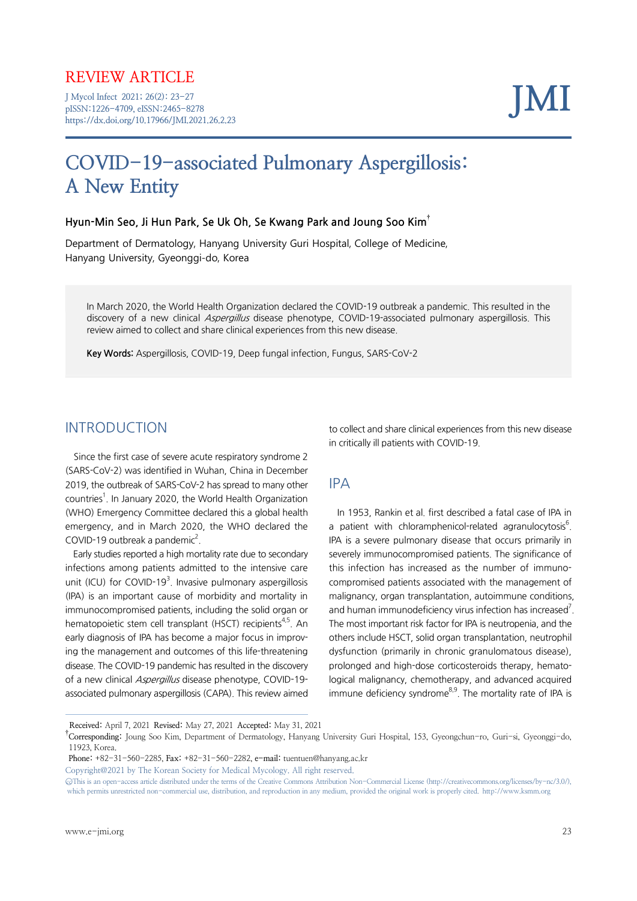# REVIEW ARTICLE

J Mycol Infect 2021; 26(2): 23-27 pISSN:1226-4709, eISSN:2465-8278 https://dx.doi.org/10.17966/JMI.2021.26.2.23 JMI

# COVID-19-associated Pulmonary Aspergillosis: A New Entity

#### Hyun-Min Seo, Ji Hun Park, Se Uk Oh, Se Kwang Park and Joung Soo Kim†

Department of Dermatology, Hanyang University Guri Hospital, College of Medicine, Hanyang University, Gyeonggi-do, Korea

In March 2020, the World Health Organization declared the COVID-19 outbreak a pandemic. This resulted in the discovery of a new clinical *Aspergillus* disease phenotype, COVID-19-associated pulmonary aspergillosis. This review aimed to collect and share clinical experiences from this new disease.

Key Words: Aspergillosis, COVID-19, Deep fungal infection, Fungus, SARS-CoV-2

#### INTRODUCTION

Since the first case of severe acute respiratory syndrome 2 (SARS-CoV-2) was identified in Wuhan, China in December 2019, the outbreak of SARS-CoV-2 has spread to many other countries<sup>1</sup>. In January 2020, the World Health Organization (WHO) Emergency Committee declared this a global health emergency, and in March 2020, the WHO declared the COVID-19 outbreak a pandemic $^2$ .

Early studies reported a high mortality rate due to secondary infections among patients admitted to the intensive care unit (ICU) for COVID-19 $3$ . Invasive pulmonary aspergillosis (IPA) is an important cause of morbidity and mortality in immunocompromised patients, including the solid organ or hematopoietic stem cell transplant (HSCT) recipients<sup>4,5</sup>. An early diagnosis of IPA has become a major focus in improving the management and outcomes of this life-threatening disease. The COVID-19 pandemic has resulted in the discovery of a new clinical Aspergillus disease phenotype, COVID-19associated pulmonary aspergillosis (CAPA). This review aimed

to collect and share clinical experiences from this new disease in critically ill patients with COVID-19.

#### IPA

In 1953, Rankin et al. first described a fatal case of IPA in a patient with chloramphenicol-related agranulocytosis<sup>6</sup>. IPA is a severe pulmonary disease that occurs primarily in severely immunocompromised patients. The significance of this infection has increased as the number of immunocompromised patients associated with the management of malignancy, organ transplantation, autoimmune conditions, and human immunodeficiency virus infection has increased<sup>7</sup>. The most important risk factor for IPA is neutropenia, and the others include HSCT, solid organ transplantation, neutrophil dysfunction (primarily in chronic granulomatous disease), prolonged and high-dose corticosteroids therapy, hematological malignancy, chemotherapy, and advanced acquired immune deficiency syndrome $8.9$ . The mortality rate of IPA is

Copyright@2021 by The Korean Society for Medical Mycology. All right reserved.

Received: April 7, 2021 Revised: May 27, 2021 Accepted: May 31, 2021

<sup>&</sup>lt;sup>†</sup>Corresponding: Joung Soo Kim, Department of Dermatology, Hanyang University Guri Hospital, 153, Gyeongchun-ro, Guri-si, Gyeonggi-do, 11923, Korea.

Phone: +82-31-560-2285, Fax: +82-31-560-2282, e-mail: tuentuen@hanyang.ac.kr

<sup>○</sup>ccThis is an open-access article distributed under the terms of the Creative Commons Attribution Non-Commercial License (http://creativecommons.org/licenses/by-nc/3.0/), which permits unrestricted non-commercial use, distribution, and reproduction in any medium, provided the original work is properly cited. http://www.ksmm.org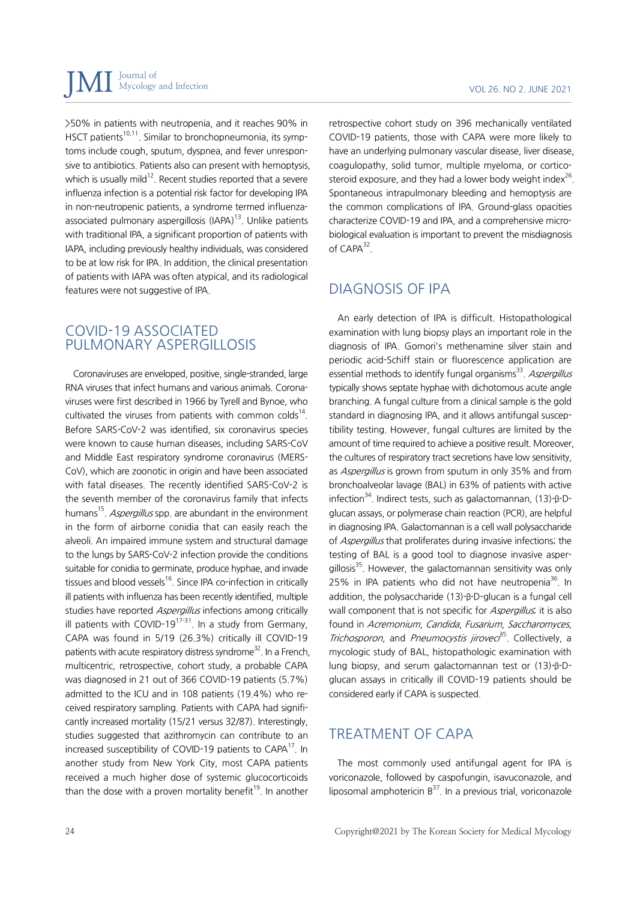>50% in patients with neutropenia, and it reaches 90% in HSCT patients<sup>10,11</sup>. Similar to bronchopneumonia, its symptoms include cough, sputum, dyspnea, and fever unresponsive to antibiotics. Patients also can present with hemoptysis, which is usually mild<sup>12</sup>. Recent studies reported that a severe influenza infection is a potential risk factor for developing IPA in non-neutropenic patients, a syndrome termed influenzaassociated pulmonary aspergillosis (IAPA) $<sup>13</sup>$ . Unlike patients</sup> with traditional IPA, a significant proportion of patients with IAPA, including previously healthy individuals, was considered to be at low risk for IPA. In addition, the clinical presentation of patients with IAPA was often atypical, and its radiological features were not suggestive of IPA.

#### COVID-19 ASSOCIATED PULMONARY ASPERGILLOSIS

Coronaviruses are enveloped, positive, single-stranded, large RNA viruses that infect humans and various animals. Coronaviruses were first described in 1966 by Tyrell and Bynoe, who cultivated the viruses from patients with common colds<sup>14</sup>. Before SARS-CoV-2 was identified, six coronavirus species were known to cause human diseases, including SARS-CoV and Middle East respiratory syndrome coronavirus (MERS-CoV), which are zoonotic in origin and have been associated with fatal diseases. The recently identified SARS-CoV-2 is the seventh member of the coronavirus family that infects humans<sup>15</sup>. Aspergillus spp. are abundant in the environment in the form of airborne conidia that can easily reach the alveoli. An impaired immune system and structural damage to the lungs by SARS-CoV-2 infection provide the conditions suitable for conidia to germinate, produce hyphae, and invade tissues and blood vessels<sup>16</sup>. Since IPA co-infection in critically ill patients with influenza has been recently identified, multiple studies have reported Aspergillus infections among critically ill patients with COVID-19 $17-31$ . In a study from Germany, CAPA was found in 5/19 (26.3%) critically ill COVID-19 patients with acute respiratory distress syndrome<sup>32</sup>. In a French, multicentric, retrospective, cohort study, a probable CAPA was diagnosed in 21 out of 366 COVID-19 patients (5.7%) admitted to the ICU and in 108 patients (19.4%) who received respiratory sampling. Patients with CAPA had significantly increased mortality (15/21 versus 32/87). Interestingly, studies suggested that azithromycin can contribute to an increased susceptibility of COVID-19 patients to  $CAPA^{17}$ . In another study from New York City, most CAPA patients received a much higher dose of systemic glucocorticoids than the dose with a proven mortality benefit<sup>19</sup>. In another

retrospective cohort study on 396 mechanically ventilated COVID-19 patients, those with CAPA were more likely to have an underlying pulmonary vascular disease, liver disease, coagulopathy, solid tumor, multiple myeloma, or corticosteroid exposure, and they had a lower body weight index $^{26}$ . Spontaneous intrapulmonary bleeding and hemoptysis are the common complications of IPA. Ground-glass opacities characterize COVID-19 and IPA, and a comprehensive microbiological evaluation is important to prevent the misdiagnosis of  $CAPA^{32}$ .

# DIAGNOSIS OF IPA

An early detection of IPA is difficult. Histopathological examination with lung biopsy plays an important role in the diagnosis of IPA. Gomori's methenamine silver stain and periodic acid-Schiff stain or fluorescence application are essential methods to identify fungal organisms<sup>33</sup>. Aspergillus typically shows septate hyphae with dichotomous acute angle branching. A fungal culture from a clinical sample is the gold standard in diagnosing IPA, and it allows antifungal susceptibility testing. However, fungal cultures are limited by the amount of time required to achieve a positive result. Moreover, the cultures of respiratory tract secretions have low sensitivity, as Aspergillus is grown from sputum in only 35% and from bronchoalveolar lavage (BAL) in 63% of patients with active infection<sup>34</sup>. Indirect tests, such as galactomannan,  $(13)$ -β-Dglucan assays, or polymerase chain reaction (PCR), are helpful in diagnosing IPA. Galactomannan is a cell wall polysaccharide of *Aspergillus* that proliferates during invasive infections; the testing of BAL is a good tool to diagnose invasive aspergillosis<sup>35</sup>. However, the galactomannan sensitivity was only 25% in IPA patients who did not have neutropenia<sup>36</sup>. In addition, the polysaccharide (13)-β-D-glucan is a fungal cell wall component that is not specific for Aspergillus; it is also found in Acremonium, Candida, Fusarium, Saccharomyces, Trichosporon, and Pneumocystis jirovec<sup>35</sup>. Collectively, a mycologic study of BAL, histopathologic examination with lung biopsy, and serum galactomannan test or (13)-β-Dglucan assays in critically ill COVID-19 patients should be considered early if CAPA is suspected.

# TREATMENT OF CAPA

The most commonly used antifungal agent for IPA is voriconazole, followed by caspofungin, isavuconazole, and liposomal amphotericin  $B^{37}$ . In a previous trial, voriconazole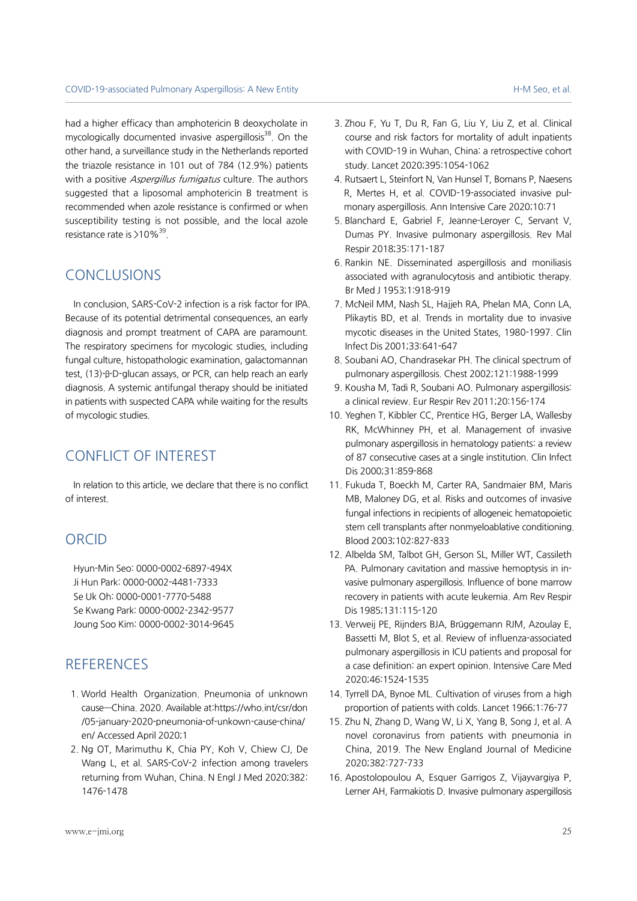had a higher efficacy than amphotericin B deoxycholate in mycologically documented invasive aspergillosis $38$ . On the other hand, a surveillance study in the Netherlands reported the triazole resistance in 101 out of 784 (12.9%) patients with a positive *Aspergillus fumigatus* culture. The authors suggested that a liposomal amphotericin B treatment is recommended when azole resistance is confirmed or when susceptibility testing is not possible, and the local azole resistance rate is  $>$  10%<sup>39</sup>.

### CONCLUSIONS

In conclusion, SARS-CoV-2 infection is a risk factor for IPA. Because of its potential detrimental consequences, an early diagnosis and prompt treatment of CAPA are paramount. The respiratory specimens for mycologic studies, including fungal culture, histopathologic examination, galactomannan test, (13)-β-D-glucan assays, or PCR, can help reach an early diagnosis. A systemic antifungal therapy should be initiated in patients with suspected CAPA while waiting for the results of mycologic studies.

# CONFLICT OF INTEREST

In relation to this article, we declare that there is no conflict of interest.

# ORCID

Hyun-Min Seo: 0000-0002-6897-494X Ji Hun Park: 0000-0002-4481-7333 Se Uk Oh: 0000-0001-7770-5488 Se Kwang Park: 0000-0002-2342-9577 Joung Soo Kim: 0000-0002-3014-9645

#### **REFERENCES**

- 1. World Health Organization. Pneumonia of unknown cause—China. 2020. Available at:https://who.int/csr/don /05-january-2020-pneumonia-of-unkown-cause-china/ en/ Accessed April 2020;1
- 2. Ng OT, Marimuthu K, Chia PY, Koh V, Chiew CJ, De Wang L, et al. SARS-CoV-2 infection among travelers returning from Wuhan, China. N Engl J Med 2020;382: 1476-1478
- 3. Zhou F, Yu T, Du R, Fan G, Liu Y, Liu Z, et al. Clinical course and risk factors for mortality of adult inpatients with COVID-19 in Wuhan, China: a retrospective cohort study. Lancet 2020;395:1054-1062
- 4. Rutsaert L, Steinfort N, Van Hunsel T, Bomans P, Naesens R, Mertes H, et al. COVID-19-associated invasive pulmonary aspergillosis. Ann Intensive Care 2020;10:71
- 5. Blanchard E, Gabriel F, Jeanne-Leroyer C, Servant V, Dumas PY. Invasive pulmonary aspergillosis. Rev Mal Respir 2018;35:171-187
- 6. Rankin NE. Disseminated aspergillosis and moniliasis associated with agranulocytosis and antibiotic therapy. Br Med J 1953;1:918-919
- 7. McNeil MM, Nash SL, Hajjeh RA, Phelan MA, Conn LA, Plikaytis BD, et al. Trends in mortality due to invasive mycotic diseases in the United States, 1980-1997. Clin Infect Dis 2001;33:641-647
- 8. Soubani AO, Chandrasekar PH. The clinical spectrum of pulmonary aspergillosis. Chest 2002;121:1988-1999
- 9. Kousha M, Tadi R, Soubani AO. Pulmonary aspergillosis: a clinical review. Eur Respir Rev 2011;20:156-174
- 10. Yeghen T, Kibbler CC, Prentice HG, Berger LA, Wallesby RK, McWhinney PH, et al. Management of invasive pulmonary aspergillosis in hematology patients: a review of 87 consecutive cases at a single institution. Clin Infect Dis 2000;31:859-868
- 11. Fukuda T, Boeckh M, Carter RA, Sandmaier BM, Maris MB, Maloney DG, et al. Risks and outcomes of invasive fungal infections in recipients of allogeneic hematopoietic stem cell transplants after nonmyeloablative conditioning. Blood 2003;102:827-833
- 12. Albelda SM, Talbot GH, Gerson SL, Miller WT, Cassileth PA. Pulmonary cavitation and massive hemoptysis in invasive pulmonary aspergillosis. Influence of bone marrow recovery in patients with acute leukemia. Am Rev Respir Dis 1985;131:115-120
- 13. Verweij PE, Rijnders BJA, Brüggemann RJM, Azoulay E, Bassetti M, Blot S, et al. Review of influenza-associated pulmonary aspergillosis in ICU patients and proposal for a case definition: an expert opinion. Intensive Care Med 2020;46:1524-1535
- 14. Tyrrell DA, Bynoe ML. Cultivation of viruses from a high proportion of patients with colds. Lancet 1966;1:76-77
- 15. Zhu N, Zhang D, Wang W, Li X, Yang B, Song J, et al. A novel coronavirus from patients with pneumonia in China, 2019. The New England Journal of Medicine 2020;382:727-733
- 16. Apostolopoulou A, Esquer Garrigos Z, Vijayvargiya P, Lerner AH, Farmakiotis D. Invasive pulmonary aspergillosis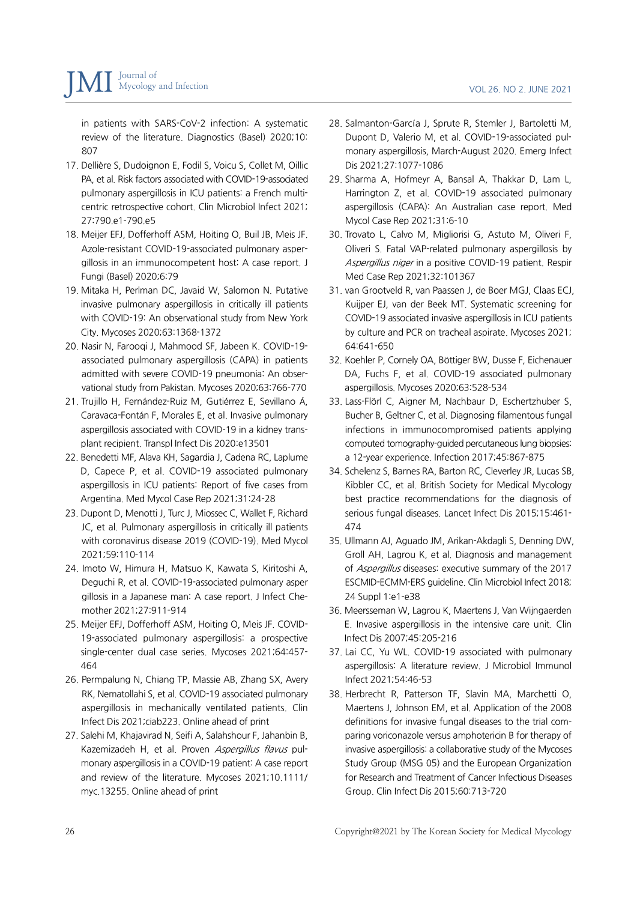in patients with SARS-CoV-2 infection: A systematic review of the literature. Diagnostics (Basel) 2020;10: 807

- 17. Dellière S, Dudoignon E, Fodil S, Voicu S, Collet M, Oillic PA, et al. Risk factors associated with COVID-19-associated pulmonary aspergillosis in ICU patients: a French multicentric retrospective cohort. Clin Microbiol Infect 2021; 27:790.e1-790.e5
- 18. Meijer EFJ, Dofferhoff ASM, Hoiting O, Buil JB, Meis JF. Azole-resistant COVID-19-associated pulmonary aspergillosis in an immunocompetent host: A case report. J Fungi (Basel) 2020;6:79
- 19. Mitaka H, Perlman DC, Javaid W, Salomon N. Putative invasive pulmonary aspergillosis in critically ill patients with COVID-19: An observational study from New York City. Mycoses 2020;63:1368-1372
- 20. Nasir N, Farooqi J, Mahmood SF, Jabeen K. COVID-19 associated pulmonary aspergillosis (CAPA) in patients admitted with severe COVID-19 pneumonia: An observational study from Pakistan. Mycoses 2020;63:766-770
- 21. Trujillo H, Fernández-Ruiz M, Gutiérrez E, Sevillano Á, Caravaca-Fontán F, Morales E, et al. Invasive pulmonary aspergillosis associated with COVID-19 in a kidney transplant recipient. Transpl Infect Dis 2020:e13501
- 22. Benedetti MF, Alava KH, Sagardia J, Cadena RC, Laplume D, Capece P, et al. COVID-19 associated pulmonary aspergillosis in ICU patients: Report of five cases from Argentina. Med Mycol Case Rep 2021;31:24-28
- 23. Dupont D, Menotti J, Turc J, Miossec C, Wallet F, Richard JC, et al. Pulmonary aspergillosis in critically ill patients with coronavirus disease 2019 (COVID-19). Med Mycol 2021;59:110-114
- 24. Imoto W, Himura H, Matsuo K, Kawata S, Kiritoshi A, Deguchi R, et al. COVID-19-associated pulmonary asper gillosis in a Japanese man: A case report. J Infect Chemother 2021;27:911-914
- 25. Meijer EFJ, Dofferhoff ASM, Hoiting O, Meis JF. COVID-19-associated pulmonary aspergillosis: a prospective single-center dual case series. Mycoses 2021;64:457- 464
- 26. Permpalung N, Chiang TP, Massie AB, Zhang SX, Avery RK, Nematollahi S, et al. COVID-19 associated pulmonary aspergillosis in mechanically ventilated patients. Clin Infect Dis 2021;ciab223. Online ahead of print
- 27. Salehi M, Khajavirad N, Seifi A, Salahshour F, Jahanbin B, Kazemizadeh H, et al. Proven Aspergillus flavus pulmonary aspergillosis in a COVID-19 patient: A case report and review of the literature. Mycoses 2021;10.1111/ myc.13255. Online ahead of print
- 28. Salmanton-García J, Sprute R, Stemler J, Bartoletti M, Dupont D, Valerio M, et al. COVID-19-associated pulmonary aspergillosis, March-August 2020. Emerg Infect Dis 2021;27:1077-1086
- 29. Sharma A, Hofmeyr A, Bansal A, Thakkar D, Lam L, Harrington Z, et al. COVID-19 associated pulmonary aspergillosis (CAPA): An Australian case report. Med Mycol Case Rep 2021;31:6-10
- 30. Trovato L, Calvo M, Migliorisi G, Astuto M, Oliveri F, Oliveri S. Fatal VAP-related pulmonary aspergillosis by Aspergillus niger in a positive COVID-19 patient. Respir Med Case Rep 2021;32:101367
- 31. van Grootveld R, van Paassen J, de Boer MGJ, Claas ECJ, Kuijper EJ, van der Beek MT. Systematic screening for COVID-19 associated invasive aspergillosis in ICU patients by culture and PCR on tracheal aspirate. Mycoses 2021; 64:641-650
- 32. Koehler P, Cornely OA, Böttiger BW, Dusse F, Eichenauer DA, Fuchs F, et al. COVID-19 associated pulmonary aspergillosis. Mycoses 2020;63:528-534
- 33. Lass-Flörl C, Aigner M, Nachbaur D, Eschertzhuber S, Bucher B, Geltner C, et al. Diagnosing filamentous fungal infections in immunocompromised patients applying computed tomography-guided percutaneous lung biopsies: a 12-year experience. Infection 2017;45:867-875
- 34. Schelenz S, Barnes RA, Barton RC, Cleverley JR, Lucas SB, Kibbler CC, et al. British Society for Medical Mycology best practice recommendations for the diagnosis of serious fungal diseases. Lancet Infect Dis 2015;15:461- 474
- 35. Ullmann AJ, Aguado JM, Arikan-Akdagli S, Denning DW, Groll AH, Lagrou K, et al. Diagnosis and management of Aspergillus diseases: executive summary of the 2017 ESCMID-ECMM-ERS guideline. Clin Microbiol Infect 2018; 24 Suppl 1:e1-e38
- 36. Meersseman W, Lagrou K, Maertens J, Van Wijngaerden E. Invasive aspergillosis in the intensive care unit. Clin Infect Dis 2007;45:205-216
- 37. Lai CC, Yu WL. COVID-19 associated with pulmonary aspergillosis: A literature review. J Microbiol Immunol Infect 2021;54:46-53
- 38. Herbrecht R, Patterson TF, Slavin MA, Marchetti O, Maertens J, Johnson EM, et al. Application of the 2008 definitions for invasive fungal diseases to the trial comparing voriconazole versus amphotericin B for therapy of invasive aspergillosis: a collaborative study of the Mycoses Study Group (MSG 05) and the European Organization for Research and Treatment of Cancer Infectious Diseases Group. Clin Infect Dis 2015;60:713-720